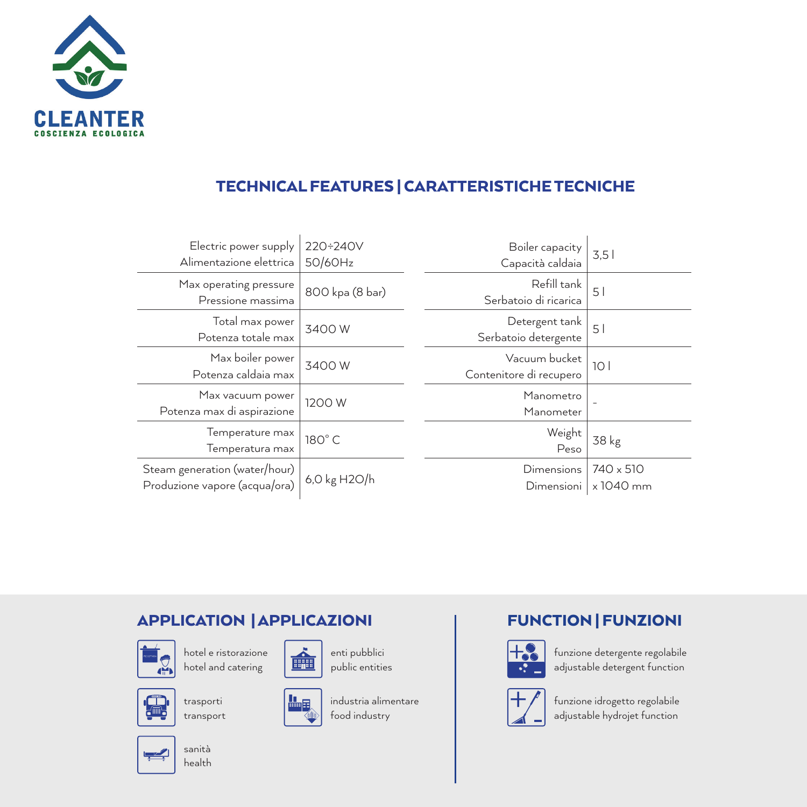

#### TECHNICAL FEATURES | CARATTERISTICHE TECNICHE

| Electric power supply<br>Alimentazione elettrica               | 220÷240V<br>50/60Hz | Boiler capacity<br>Capacità caldaia      | 3,5                    |
|----------------------------------------------------------------|---------------------|------------------------------------------|------------------------|
| Max operating pressure<br>Pressione massima                    | 800 kpa (8 bar)     | Refill tank<br>Serbatojo di ricarica     | 5 <sup>1</sup>         |
| Total max power<br>Potenza totale max                          | 3400W               | Detergent tank<br>Serbatoio detergente   | 5                      |
| Max boiler power<br>Potenza caldaia max                        | 3400W               | Vacuum bucket<br>Contenitore di recupero | 101                    |
| Max vacuum power<br>Potenza max di aspirazione                 | 1200 W              | Manometro<br>Manometer                   |                        |
| Temperature max<br>Temperatura max                             | 180°C               | Weight<br>Peso                           | 38 kg                  |
| Steam generation (water/hour)<br>Produzione vapore (acqua/ora) | 6,0 kg $H2O/h$      | Dimensions<br>Dimensioni                 | 740 x 510<br>x 1040 mm |

### APPLICATION | APPLICAZIONI



hotel e ristorazione hotel and catering



الجمعيها

trasporti transport

sanità health



₩₽

H



industria alimentare food industry

enti pubblici public entities

#### FUNCTION | FUNZIONI



funzione detergente regolabile adjustable detergent function



funzione idrogetto regolabile adjustable hydrojet function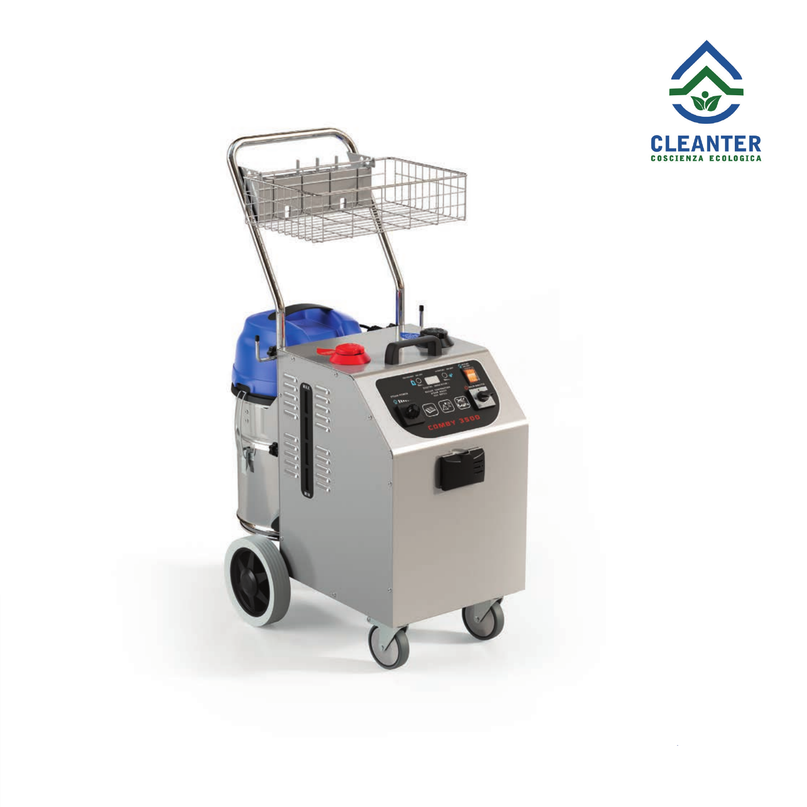

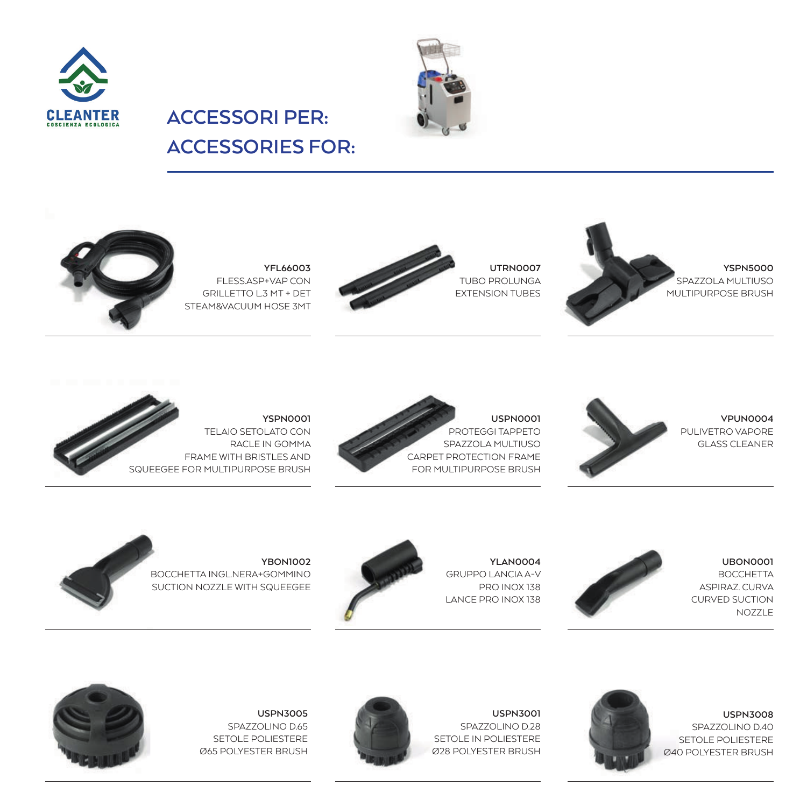



## **ACCESSORI PER: ACCESSORIES FOR:**



**YFL66003** FLESS.ASP+VAP CON GRILLETTO L.3 MT + DET STEAM&VACUUM HOSE 3MT







**YSPN0001** TELAIO SETOLATO CON RACLE IN GOMMA FRAME WITH BRISTLES AND SQUEEGEE FOR MULTIPURPOSE BRUSH







**UBON0001 BOCCHETTA** ASPIRAZ. CURVA CURVED SUCTION NOZZLE

**USPN3008** SPAZZOLINO D.40 SETOLE POLIESTERE Ø40 POLYESTER BRUSH



**YLAN0004** GRUPPO LANCIA A-V PRO INOX 138 LANCE PRO INOX 138





BOCCHETTA INGL.NERA+GOMMINO SUCTION NOZZLE WITH SQUEEGEE

**USPN3005** SPAZZOLINO D.65 SETOLE POLIESTERE Ø65 POLYESTER BRUSH



**USPN3001** SPAZZOLINO D.28 SETOLE IN POLIESTERE Ø28 POLYESTER BRUSH